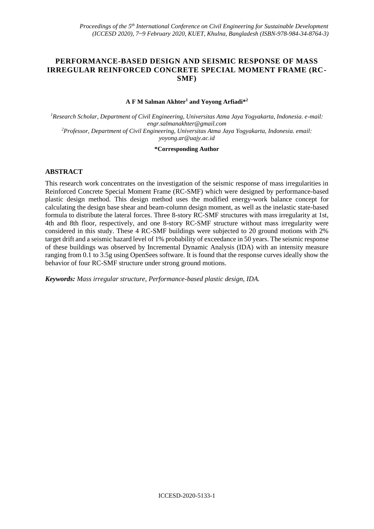## **PERFORMANCE-BASED DESIGN AND SEISMIC RESPONSE OF MASS IRREGULAR REINFORCED CONCRETE SPECIAL MOMENT FRAME (RC-SMF)**

### **A F M Salman Akhter<sup>1</sup> and Yoyong Arfiadi\*<sup>2</sup>**

*<sup>1</sup>Research Scholar, Department of Civil Engineering, Universitas Atma Jaya Yogyakarta, Indonesia. e-mail: [engr.salmanakhter@gmail.com](mailto:engr.salmanakhter@gmail.com)  <sup>2</sup>Professor, Department of Civil Engineering, Universitas Atma Jaya Yogyakarta, Indonesia. email: [yoyong.ar@uajy.ac.id](mailto:yoyong.ar@uajy.ac.id)*

### **\*Corresponding Author**

## **ABSTRACT**

This research work concentrates on the investigation of the seismic response of mass irregularities in Reinforced Concrete Special Moment Frame (RC-SMF) which were designed by performance-based plastic design method. This design method uses the modified energy-work balance concept for calculating the design base shear and beam-column design moment, as well as the inelastic state-based formula to distribute the lateral forces. Three 8-story RC-SMF structures with mass irregularity at 1st, 4th and 8th floor, respectively, and one 8-story RC-SMF structure without mass irregularity were considered in this study. These 4 RC-SMF buildings were subjected to 20 ground motions with 2% target drift and a seismic hazard level of 1% probability of exceedance in 50 years. The seismic response of these buildings was observed by Incremental Dynamic Analysis (IDA) with an intensity measure ranging from 0.1 to 3.5g using OpenSees software. It is found that the response curves ideally show the behavior of four RC-SMF structure under strong ground motions.

*Keywords: Mass irregular structure, Performance-based plastic design, IDA.*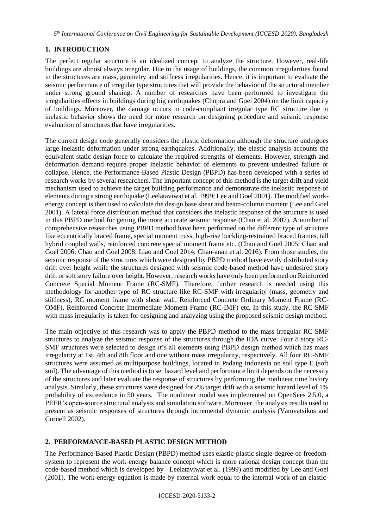*5 th International Conference on Civil Engineering for Sustainable Development (ICCESD 2020), Bangladesh*

# **1. INTRODUCTION**

The perfect regular structure is an idealized concept to analyze the structure. However, real-life buildings are almost always irregular. Due to the usage of buildings, the common irregularities found in the structures are mass, geometry and stiffness irregularities. Hence, it is important to evaluate the seismic performance of irregular type structures that will provide the behavior of the structural member under strong ground shaking. A number of researches have been performed to investigate the irregularities effects in buildings during big earthquakes (Chopra and Goel 2004) on the limit capacity of buildings. Moreover, the damage occurs in code-compliant irregular type RC structure due to inelastic behavior shows the need for more research on designing procedure and seismic response evaluation of structures that have irregularities.

The current design code generally considers the elastic deformation although the structure undergoes large inelastic deformation under strong earthquakes. Additionally, the elastic analysis accounts the equivalent static design force to calculate the required strengths of elements. However, strength and deformation demand require proper inelastic behavior of elements to prevent undesired failure or collapse. Hence, the Performance-Based Plastic Design (PBPD) has been developed with a series of research works by several researchers. The important concept of this method is the target drift and yield mechanism used to achieve the target building performance and demonstrate the inelastic response of elements during a strong earthquake (Leelataviwat et al. 1999; Lee and Goel 2001). The modified workenergy concept is then used to calculate the design base shear and beam-column moment (Lee and Goel 2001). A lateral force distribution method that considers the inelastic response of the structure is used in this PBPD method for getting the more accurate seismic response (Chao et al. 2007). A number of comprehensive researches using PBPD method have been performed on the different type of structure like eccentrically braced frame, special moment truss, high-rise buckling-restrained braced frames, tall hybrid coupled walls, reinforced concrete special moment frame etc. (Chao and Goel 2005; Chao and Goel 2006; Chao and Goel 2008; Liao and Goel 2014; Chan-anan et al. 2016). From those studies, the seismic response of the structures which were designed by PBPD method have evenly distributed story drift over height while the structures designed with seismic code-based method have undesired story drift or soft story failure over height. However, research works have only been performed on Reinforced Concrete Special Moment Frame (RC-SMF). Therefore, further research is needed using this methodology for another type of RC structure like RC-SMF with irregularity (mass, geometry and stiffness), RC moment frame with shear wall, Reinforced Concrete Ordinary Moment Frame (RC-OMF), Reinforced Concrete Intermediate Moment Frame (RC-IMF) etc. In this study, the RC-SMF with mass irregularity is taken for designing and analyzing using the proposed seismic design method.

The main objective of this research was to apply the PBPD method to the mass irregular RC-SMF structures to analyze the seismic response of the structures through the IDA curve. Four 8 story RC-SMF structures were selected to design it's all elements using PBPD design method which has mass irregularity at 1st, 4th and 8th floor and one without mass irregularity, respectively. All four RC-SMF structures were assumed as multipurpose buildings, located in Padang Indonesia on soil type E (soft soil). The advantage of this method is to set hazard level and performance limit depends on the necessity of the structures and later evaluate the response of structures by performing the nonlinear time history analysis. Similarly, these structures were designed for 2% target drift with a seismic hazard level of 1% probability of exceedance in 50 years. The nonlinear model was implemented on OpenSees 2.5.0, a PEER's open-source structural analysis and simulation software. Moreover, the analysis results used to present as seismic responses of structures through incremental dynamic analysis (Vamvatsikos and Cornell 2002).

# **2. PERFORMANCE-BASED PLASTIC DESIGN METHOD**

The Performance-Based Plastic Design (PBPD) method uses elastic-plastic single-degree-of-freedomsystem to represent the work-energy balance concept which is more rational design concept than the code-based method which is developed by Leelataviwat et al. (1999) and modified by Lee and Goel (2001). The work-energy equation is made by external work equal to the internal work of an elastic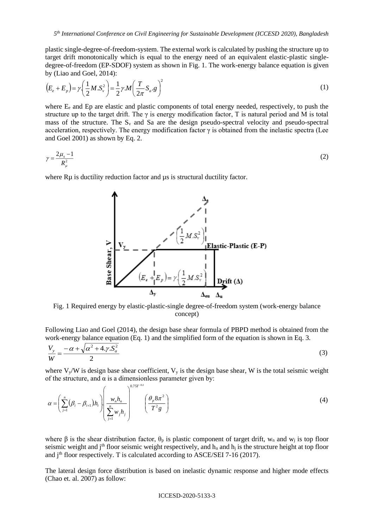plastic single-degree-of-freedom-system. The external work is calculated by pushing the structure up to target drift monotonically which is equal to the energy need of an equivalent elastic-plastic singledegree-of-freedom (EP-SDOF) system as shown in Fig. 1. The work-energy balance equation is given by (Liao and Goel, 2014):

$$
\left(E_e + E_p\right) = \gamma \left(\frac{1}{2}M.S_v^2\right) = \frac{1}{2}\gamma M \left(\frac{T}{2\pi}S_a \cdot g\right)^2\tag{1}
$$

where  $E_e$  and Ep are elastic and plastic components of total energy needed, respectively, to push the structure up to the target drift. The  $\gamma$  is energy modification factor, T is natural period and M is total mass of the structure. The  $S_v$  and Sa are the design pseudo-spectral velocity and pseudo-spectral acceleration, respectively. The energy modification factor  $\gamma$  is obtained from the inelastic spectra (Lee and Goel 2001) as shown by Eq. 2.

$$
\gamma = \frac{2\mu_s - 1}{R_{\mu}^2} \tag{2}
$$

where R<sub>u</sub> is ductility reduction factor and  $\mu$ s is structural ductility factor.



Fig. 1 Required energy by elastic-plastic-single degree-of-freedom system (work-energy balance concept)

Following Liao and Goel (2014), the design base shear formula of PBPD method is obtained from the work-energy balance equation (Eq. 1) and the simplified form of the equation is shown in Eq. 3.

$$
\frac{V_y}{W} = \frac{-\alpha + \sqrt{\alpha^2 + 4 \cdot \gamma \cdot S_a^2}}{2} \tag{3}
$$

where  $V_y/W$  is design base shear coefficient,  $V_y$  is the design base shear, W is the total seismic weight of the structure, and  $\alpha$  is a dimensionless parameter given by:

$$
\alpha = \left(\sum_{j=1}^{n} (\beta_i - \beta_{i+1}) h_i\right) \left(\frac{w_n h_n}{\sum_{j=1}^{n} w_j h_j}\right)^{0.75T^{-0.2}} \left(\frac{\theta_p 8\pi^2}{T^2 g}\right)
$$
\n(4)

where  $\beta$  is the shear distribution factor,  $\theta_p$  is plastic component of target drift, w<sub>n</sub> and w<sub>j</sub> is top floor seismic weight and j<sup>th</sup> floor seismic weight respectively, and  $h_n$  and  $h_j$  is the structure height at top floor and  $j<sup>th</sup>$  floor respectively. T is calculated according to ASCE/SEI 7-16 (2017).

The lateral design force distribution is based on inelastic dynamic response and higher mode effects (Chao et. al. 2007) as follow:

### ICCESD-2020-5133-3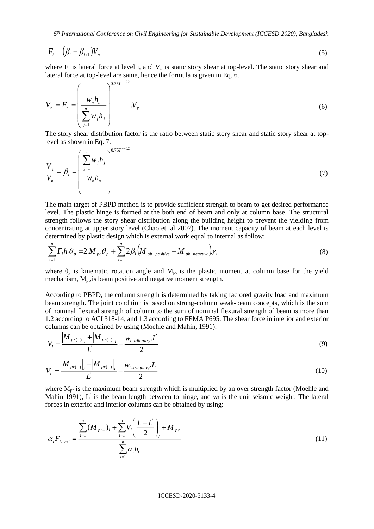*5 th International Conference on Civil Engineering for Sustainable Development (ICCESD 2020), Bangladesh*

$$
F_i = (\beta_i - \beta_{i+1})V_n \tag{5}
$$

where Fi is lateral force at level i, and  $V_n$  is static story shear at top-level. The static story shear and lateral force at top-level are same, hence the formula is given in Eq. 6.

$$
V_{n} = F_{n} = \left(\frac{w_{n}h_{n}}{\sum_{j=1}^{n}w_{j}h_{j}}\right)^{0.75T^{-0.2}}
$$
\n(6)

The story shear distribution factor is the ratio between static story shear and static story shear at toplevel as shown in Eq. 7.

$$
\frac{V_i}{V_n} = \beta_i = \left(\frac{\sum_{j=1}^n w_j h_j}{w_n h_n}\right)^{0.75T^{-0.2}}
$$
\n(7)

The main target of PBPD method is to provide sufficient strength to beam to get desired performance level. The plastic hinge is formed at the both end of beam and only at column base. The structural strength follows the story shear distribution along the building height to prevent the yielding from concentrating at upper story level (Chao et. al 2007). The moment capacity of beam at each level is determined by plastic design which is external work equal to internal as follow:

$$
\sum_{i=1}^{n} F_i h_i \theta_p = 2.M_{pc} \theta_p + \sum_{i=1}^{n} 2\beta_i \left( M_{pb-positive} + M_{pb-negative} \right) \gamma_i
$$
\n(8)

where  $\theta_p$  is kinematic rotation angle and  $M_{pc}$  is the plastic moment at column base for the yield mechanism,  $M_{pb}$  is beam positive and negative moment strength.

According to PBPD, the column strength is determined by taking factored gravity load and maximum beam strength. The joint condition is based on strong-column weak-beam concepts, which is the sum of nominal flexural strength of column to the sum of nominal flexural strength of beam is more than 1.2 according to ACI 318-14, and 1.3 according to FEMA P695. The shear force in interior and exterior columns can be obtained by using (Moehle and Mahin, 1991):

$$
V_{i} = \frac{|M_{pr(+)}|_{i} + |M_{pr(-)}|_{i}}{L} + \frac{W_{i-tributary}L}{2}
$$
 (9)

$$
V_i = \frac{|M_{pr(+)}|_i + |M_{pr(-)}|_i}{L} - \frac{w_{i-tributary}.L}{2}
$$
 (10)

where  $M_{pr}$  is the maximum beam strength which is multiplied by an over strength factor (Moehle and Mahin 1991), L' is the beam length between to hinge, and  $w_i$  is the unit seismic weight. The lateral forces in exterior and interior columns can be obtained by using:

$$
\alpha_i F_{L-exr} = \frac{\sum_{i=1}^n (M_{pr-})_i + \sum_{i=1}^n V_i \left(\frac{L-L}{2}\right)_i + M_{pc}}{\sum_{i=1}^n \alpha_i h_i} \tag{11}
$$

#### ICCESD-2020-5133-4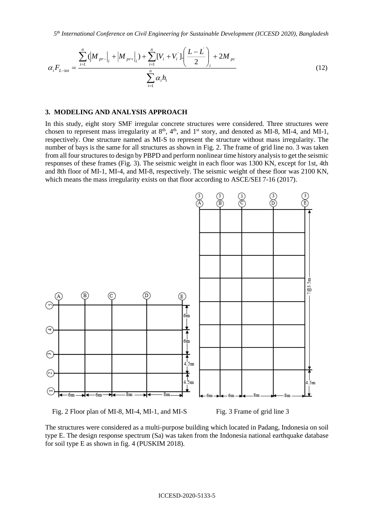*5 th International Conference on Civil Engineering for Sustainable Development (ICCESD 2020), Bangladesh*

$$
\alpha_i F_{L-\text{int}} = \frac{\sum_{i=1}^n (|M_{pr-}|_i + |M_{pr+}|_i) + \sum_{i=1}^n [V_i + V_i'] \left(\frac{L-L}{2}\right)_i + 2M_{pc}}{\sum_{i=1}^n \alpha_i h_i}
$$
(12)

### **3. MODELING AND ANALYSIS APPROACH**

In this study, eight story SMF irregular concrete structures were considered. Three structures were chosen to represent mass irregularity at  $8<sup>th</sup>$ ,  $4<sup>th</sup>$ , and  $1<sup>st</sup>$  story, and denoted as MI-8, MI-4, and MI-1, respectively. One structure named as MI-S to represent the structure without mass irregularity. The number of bays is the same for all structures as shown in Fig. 2. The frame of grid line no. 3 was taken from all four structures to design by PBPD and perform nonlinear time history analysis to get the seismic responses of these frames (Fig. 3). The seismic weight in each floor was 1300 KN, except for 1st, 4th and 8th floor of MI-1, MI-4, and MI-8, respectively. The seismic weight of these floor was 2100 KN, which means the mass irregularity exists on that floor according to ASCE/SEI 7-16 (2017).



Fig. 2 Floor plan of MI-8, MI-4, MI-1, and MI-S Fig. 3 Frame of grid line 3

The structures were considered as a multi-purpose building which located in Padang, Indonesia on soil type E. The design response spectrum (Sa) was taken from the Indonesia national earthquake database for soil type E as shown in fig. 4 (PUSKIM 2018).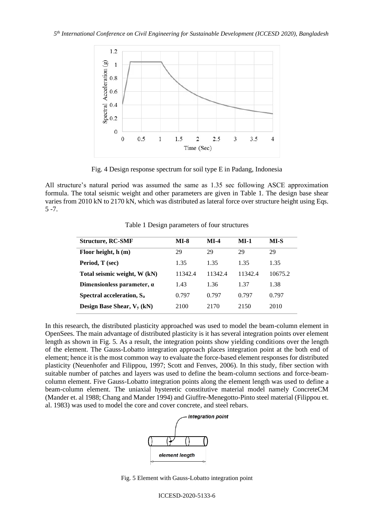

Fig. 4 Design response spectrum for soil type E in Padang, Indonesia

All structure's natural period was assumed the same as 1.35 sec following ASCE approximation formula. The total seismic weight and other parameters are given in Table 1. The design base shear varies from 2010 kN to 2170 kN, which was distributed as lateral force over structure height using Eqs. 5 -7.

| <b>Structure, RC-SMF</b>              | <b>MI-8</b> | $MI-4$  | <b>MI-1</b> | MI-S    |
|---------------------------------------|-------------|---------|-------------|---------|
| Floor height, h (m)                   | 29          | 29      | 29          | 29      |
| Period, T (sec)                       | 1.35        | 1.35    | 1.35        | 1.35    |
| Total seismic weight, W (kN)          | 11342.4     | 11342.4 | 11342.4     | 10675.2 |
| Dimensionless parameter, $\alpha$     | 1.43        | 1.36    | 1.37        | 1.38    |
| Spectral acceleration, S <sub>a</sub> | 0.797       | 0.797   | 0.797       | 0.797   |
| Design Base Shear, $V_v(kN)$          | 2100        | 2170    | 2150        | 2010    |

Table 1 Design parameters of four structures

In this research, the distributed plasticity approached was used to model the beam-column element in OpenSees. The main advantage of distributed plasticity is it has several integration points over element length as shown in Fig. 5. As a result, the integration points show yielding conditions over the length of the element. The Gauss-Lobatto integration approach places integration point at the both end of element; hence it is the most common way to evaluate the force-based element responses for distributed plasticity (Neuenhofer and Filippou, 1997; Scott and Fenves, 2006). In this study, fiber section with suitable number of patches and layers was used to define the beam-column sections and force-beamcolumn element. Five Gauss-Lobatto integration points along the element length was used to define a beam-column element. The uniaxial hysteretic constitutive material model namely ConcreteCM (Mander et. al 1988; Chang and Mander 1994) and Giuffre-Menegotto-Pinto steel material (Filippou et. al. 1983) was used to model the core and cover concrete, and steel rebars.



Fig. 5 Element with Gauss-Lobatto integration point

ICCESD-2020-5133-6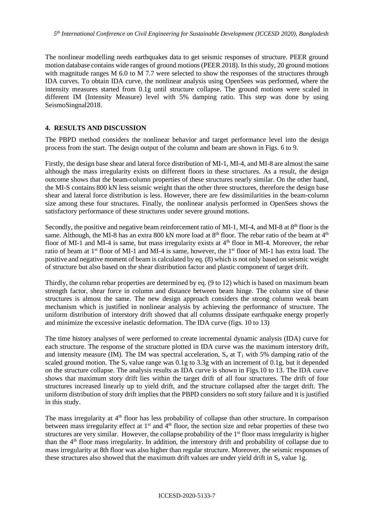The nonlinear modelling needs earthquakes data to get seismic responses of structure. PEER ground motion database contains wide ranges of ground motions (PEER 2018). In this study, 20 ground motions with magnitude ranges M 6.0 to M 7.7 were selected to show the responses of the structures through IDA curves. To obtain IDA curve, the nonlinear analysis using OpenSees was performed, where the intensity measures started from 0.1g until structure collapse. The ground motions were scaled in different IM (Intensity Measure) level with 5% damping ratio. This step was done by using SeismoSingnal2018.

## **4. RESULTS AND DISCUSSION**

The PBPD method considers the nonlinear behavior and target performance level into the design process from the start. The design output of the column and beam are shown in Figs. 6 to 9.

Firstly, the design base shear and lateral force distribution of MI-1, MI-4, and MI-8 are almost the same although the mass irregularity exists on different floors in these structures. As a result, the design outcome shows that the beam-column properties of these structures nearly similar. On the other hand, the MI-S contains 800 kN less seismic weight than the other three structures, therefore the design base shear and lateral force distribution is less. However, there are few dissimilarities in the beam-column size among these four structures. Finally, the nonlinear analysis performed in OpenSees shows the satisfactory performance of these structures under severe ground motions.

Secondly, the positive and negative beam reinforcement ratio of MI-1, MI-4, and MI-8 at  $8<sup>th</sup>$  floor is the same. Although, the MI-8 has an extra 800 kN more load at  $8<sup>th</sup>$  floor. The rebar ratio of the beam at  $4<sup>th</sup>$ floor of MI-1 and MI-4 is same, but mass irregularity exists at 4<sup>th</sup> floor in MI-4. Moreover, the rebar ratio of beam at 1<sup>st</sup> floor of MI-1 and MI-4 is same, however, the 1<sup>st</sup> floor of MI-1 has extra load. The positive and negative moment of beam is calculated by eq. (8) which is not only based on seismic weight of structure but also based on the shear distribution factor and plastic component of target drift.

Thirdly, the column rebar properties are determined by eq. (9 to 12) which is based on maximum beam strength factor, shear force in column and distance between beam hinge. The column size of these structures is almost the same. The new design approach considers the strong column weak beam mechanism which is justified in nonlinear analysis by achieving the performance of structure. The uniform distribution of interstory drift showed that all columns dissipate earthquake energy properly and minimize the excessive inelastic deformation. The IDA curve (figs. 10 to 13)

The time history analyses of were performed to create incremental dynamic analysis (IDA) curve for each structure. The response of the structure plotted in IDA curve was the maximum interstory drift, and intensity measure (IM). The IM was spectral acceleration,  $S_a$  at  $T_1$  with 5% damping ratio of the scaled ground motion. The  $S_a$  value range was 0.1g to 3.3g with an increment of 0.1g, but it depended on the structure collapse. The analysis results as IDA curve is shown in Figs.10 to 13. The IDA curve shows that maximum story drift lies within the target drift of all four structures. The drift of four structures increased linearly up to yield drift, and the structure collapsed after the target drift. The uniform distribution of story drift implies that the PBPD considers no soft story failure and it is justified in this study.

The mass irregularity at  $4<sup>th</sup>$  floor has less probability of collapse than other structure. In comparison between mass irregularity effect at  $1<sup>st</sup>$  and  $4<sup>th</sup>$  floor, the section size and rebar properties of these two structures are very similar. However, the collapse probability of the  $1<sup>st</sup>$  floor mass irregularity is higher than the 4th floor mass irregularity. In addition, the interstory drift and probability of collapse due to mass irregularity at 8th floor was also higher than regular structure. Moreover, the seismic responses of these structures also showed that the maximum drift values are under yield drift in  $S_a$  value 1g.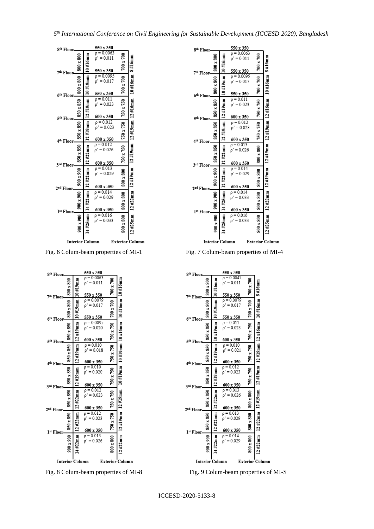| 8 <sup>th</sup> Floor-                           |                  |                | 550 x 350                                                   |                  |                         |
|--------------------------------------------------|------------------|----------------|-------------------------------------------------------------|------------------|-------------------------|
|                                                  | 800 x 800        | 10#16mm        | $\rho = 0.0063$<br>$\rho' = 0.011$                          | $700 \times 700$ | 8#16mm                  |
| 7th Floor                                        | 800 x 800        | 10#19mm        | 550 x 350<br>$p = 0.0095$<br>$\rho' = 0.017$                | 700 x 700        | 10#16mm                 |
| 6 <sup>th</sup> Floor                            | 850 x 850        | 12#19mm        | 550 x 350<br>$\rho = 0.011$<br>$\rho' = 0.023$<br>600 x 350 | 750 x 750        |                         |
| 5 <sup>th</sup> Floor<br>4 <sup>th</sup> Floor-  | 850 x 850        | 12#19mm        | $\rho = 0.012$<br>$p' = 0.023$<br>600 x 350                 | 750 x 750        | 12#19mm 12#19mm 12#16mm |
| 3rd Floor                                        | 850 x 850        | 12#22mm        | $\rho = 0.012$<br>$p' = 0.026$<br>600 x 350                 | 750 x 750        |                         |
| 2™ Floor                                         | 900 x 900        | 12#22mm        | $\rho = 0.013$<br>$p' = 0.029$<br>600 x 350                 | 800 x 800        | $12#19$ mm              |
| 1st Floor-                                       | 900 x 900        | 14#22mm        | $p = 0.014$<br>$\rho' = 0.029$<br>600 x 350                 | 800 x 800        | 12#22mm                 |
|                                                  | $900 \times 900$ | $#25$ mm<br>14 | $\rho = 0.016$<br>$p' = 0.033$                              | 800 x 800        | $12#25$ mm              |
| <b>Interior Column</b><br><b>Exterior Column</b> |                  |                |                                                             |                  |                         |

Fig. 6 Colum-beam properties of MI-1 Fig. 7 Colum-beam properties of MI-4

| 8 <sup>th</sup> Floor-                           |           |            | 550 x 350                                       |                  |                         |
|--------------------------------------------------|-----------|------------|-------------------------------------------------|------------------|-------------------------|
| 7 <sup>th</sup> Floor-                           | 800 x 800 | $10#19$ mm | $p = 0.0063$<br>$\rho' = 0.011$<br>550 x 350    | 700 x 700        |                         |
| 6 <sup>th</sup> Floor-                           | 800 x 800 | $10#19$ mm | $\rho = 0.0079$<br>$\rho' = 0.017$<br>550 x 350 | $700 \times 700$ | 10#16mm 10#16mm         |
| 5 <sup>th</sup> Floor-                           | 850 x 850 | $12#19$ mm | $p = 0.0095$<br>$\rho' = 0.020$<br>600 x 350    | 750 x 750        |                         |
| 4 <sup>th</sup> Floor-                           | 850 x 850 | #19mm<br>ᅼ | $\rho = 0.010$<br>$p' = 0.018$<br>600 x 350     | 750 x 750        | 10#19mm 10#19mm 10#16mm |
| 3rd Floor-                                       | 850 x 850 | $12#19$ mm | $\rho = 0.010$<br>$p' = 0.020$<br>600 x 350     | 750 x 750        |                         |
| 2 <sup>nd</sup> Floor-                           | 850 x 850 | 12#22mm    | $\rho = 0.012$<br>$\rho' = 0.023$<br>600 x 350  | 750 x 750        | 12#19mm 12#19mm         |
| 1st Floor-                                       | 850 x 850 | 12 #22mm   | $\rho = 0.012$<br>$p' = 0.023$<br>600 x 350     | 750 x 750        |                         |
|                                                  | 900 x 900 | #22mm      | $\rho = 0.013$<br>$\rho' = 0.026$               | 800 x 800        | 12 #22mm                |
| <b>Interior Column</b><br><b>Exterior Column</b> |           |            |                                                 |                  |                         |

Fig. 8 Colum-beam properties of MI-8 Fig. 9 Colum-beam properties of MI-S

| 8 <sup>th</sup> Floor-             |           |             | 550 x 350                                      |                  |                         |
|------------------------------------|-----------|-------------|------------------------------------------------|------------------|-------------------------|
| 7th Floor                          | 800 x 800 | $10#16$ mm  | $p = 0.0063$<br>$\rho' = 0.011$<br>550 x 350   | $700 \times 700$ | 8#16mm                  |
| 6 <sup>th</sup> Floor-             | 800 x 800 | $10#19$ mm  | $p = 0.0095$<br>$\rho' = 0.017$<br>550 x 350   | $700 \times 700$ | 10#16mm                 |
| 5 <sup>th</sup> Floor.             | 850 x 850 | 12#19mm     | $\rho = 0.011$<br>$\rho' = 0.023$<br>600 x 350 | 750 x 750        |                         |
| 4 <sup>th</sup> Floor-             | 850 x 850 | 12#19mm     | $\rho = 0.012$<br>$\rho' = 0.023$<br>600 x 350 | 750 x 750        | 12#19mm 12#19mm 12#16mm |
| 3rd Floor                          | 850 x 850 | 12#22mm     | $\rho = 0.013$<br>$p' = 0.026$<br>600 x 350    | 800 x 800        |                         |
| 2 <sup>nd</sup> Floor-             | 900 x 900 | #22mm<br>51 | $\rho = 0.014$<br>$p' = 0.029$<br>600 x 350    | 800 x 800        | $12#19$ mm              |
| l¤ Floor-                          | 006 x 006 | 14#25mm     | $p = 0.014$<br>$p' = 0.033$<br>600 x 350       | 800 x 800        | 12#22mm                 |
|                                    | 900 x 900 | $14#25$ mm  | $\rho = 0.016$<br>$p' = 0.033$                 | 800 x 800        | 12#25mm                 |
| Interior Column<br>Exterior Column |           |             |                                                |                  |                         |

| 8 <sup>th</sup> Floor-                           |                  |            | 550 x 350                                      |                  |                 |
|--------------------------------------------------|------------------|------------|------------------------------------------------|------------------|-----------------|
|                                                  | $800 \times 800$ | $10#16$ mm | $p = 0.0047$<br>$\rho' = 0.011$<br>550 x 350   | 700 x 700        | $8#16$ mm       |
| 7 <sup>th</sup> Floor                            | 800 x 800        | 10#19mm    | $p = 0.0079$<br>$p' = 0.017$<br>550 x 350      | $700 \times 700$ | 10#16mm         |
| 6 <sup>th</sup> Floor-<br>5 <sup>th</sup> Floor  | 850 x 850        | 10#19mm    | $\rho = 0.011$<br>$\rho' = 0.023$<br>600 x 350 | 750 x 750        |                 |
| 4 <sup>th</sup> Floor                            | 850 x 850        | 12#19mm    | $\rho = 0.010$<br>$p' = 0.021$<br>600 x 350    | 750 x 750        | 12#19mm 12#16mm |
| 3rd Floor.                                       | 850 x 850        | 12#19mm    | $\rho = 0.012$<br>$p' = 0.023$<br>600 x 350    | 750 x 750        | $12#19$ mm      |
| 2 <sup>nd</sup> Floor                            | 850 x 850        | 12#22mm    | $\rho = 0.013$<br>$\rho' = 0.026$<br>600 x 350 | 800 x 800        | $12#19$ mm      |
| 1st Floor.                                       | 850 x 850        | 12#22mm    | $p = 0.013$<br>$\rho' = 0.029$<br>600 x 350    | 800 x 800        | 12#22mm         |
|                                                  | $900 \times 900$ | .4#22mm    | $\rho = 0.014$<br>$p' = 0.029$                 | 800 x 800        | 12 #22mm        |
| <b>Exterior Column</b><br><b>Interior Column</b> |                  |            |                                                |                  |                 |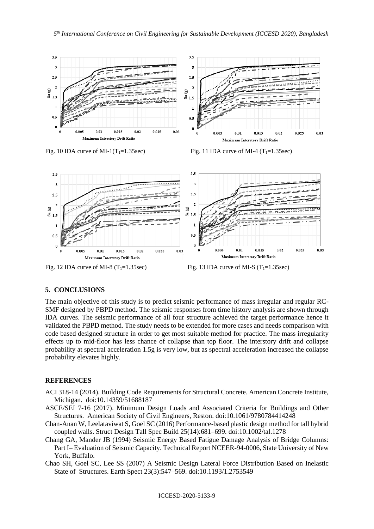

Fig. 10 IDA curve of MI-1(T<sub>1</sub>=1.35sec) Fig. 11 IDA curve of MI-4 (T<sub>1</sub>=1.35sec)



Fig. 12 IDA curve of MI-8 ( $T_1$ =1.35sec) Fig. 13 IDA curve of MI-S ( $T_1$ =1.35sec)

## **5. CONCLUSIONS**

The main objective of this study is to predict seismic performance of mass irregular and regular RC-SMF designed by PBPD method. The seismic responses from time history analysis are shown through IDA curves. The seismic performance of all four structure achieved the target performance hence it validated the PBPD method. The study needs to be extended for more cases and needs comparison with code based designed structure in order to get most suitable method for practice. The mass irregularity effects up to mid-floor has less chance of collapse than top floor. The interstory drift and collapse probability at spectral acceleration 1.5g is very low, but as spectral acceleration increased the collapse probability elevates highly.

## **REFERENCES**

- ACI 318-14 (2014). Building Code Requirements for Structural Concrete. American Concrete Institute, Michigan. doi:10.14359/51688187
- ASCE/SEI 7-16 (2017). Minimum Design Loads and Associated Criteria for Buildings and Other Structures. American Society of Civil Engineers, Reston. doi:10.1061/9780784414248
- Chan-Anan W, Leelataviwat S, Goel SC (2016) Performance-based plastic design method for tall hybrid coupled walls. Struct Design Tall Spec Build 25(14):681–699. doi:10.1002/tal.1278
- Chang GA, Mander JB (1994) Seismic Energy Based Fatigue Damage Analysis of Bridge Columns: Part I– Evaluation of Seismic Capacity. Technical Report NCEER-94-0006, State University of New York, Buffalo.
- Chao SH, Goel SC, Lee SS (2007) A Seismic Design Lateral Force Distribution Based on Inelastic State of Structures. Earth Spect 23(3):547–569. doi:10.1193/1.2753549